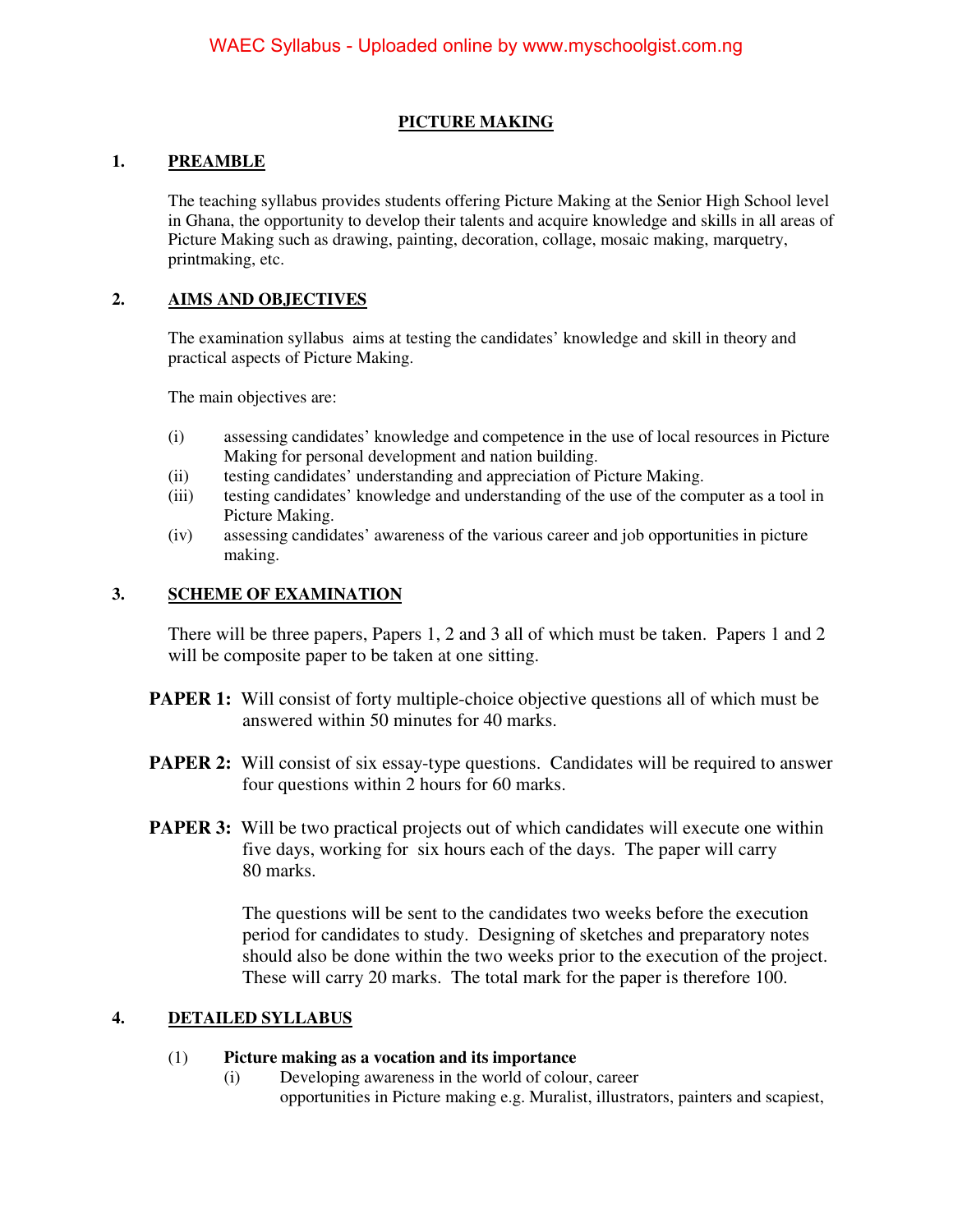# **PICTURE MAKING**

## **1. PREAMBLE**

The teaching syllabus provides students offering Picture Making at the Senior High School level in Ghana, the opportunity to develop their talents and acquire knowledge and skills in all areas of Picture Making such as drawing, painting, decoration, collage, mosaic making, marquetry, printmaking, etc.

## **2. AIMS AND OBJECTIVES**

The examination syllabus aims at testing the candidates' knowledge and skill in theory and practical aspects of Picture Making.

The main objectives are:

- (i) assessing candidates' knowledge and competence in the use of local resources in Picture Making for personal development and nation building.
- (ii) testing candidates' understanding and appreciation of Picture Making.
- (iii) testing candidates' knowledge and understanding of the use of the computer as a tool in Picture Making.
- (iv) assessing candidates' awareness of the various career and job opportunities in picture making.

### **3. SCHEME OF EXAMINATION**

There will be three papers, Papers 1, 2 and 3 all of which must be taken. Papers 1 and 2 will be composite paper to be taken at one sitting.

- **PAPER 1:** Will consist of forty multiple-choice objective questions all of which must be answered within 50 minutes for 40 marks.
- **PAPER 2:** Will consist of six essay-type questions. Candidates will be required to answer four questions within 2 hours for 60 marks.
- **PAPER 3:** Will be two practical projects out of which candidates will execute one within five days, working for six hours each of the days. The paper will carry 80 marks.

 The questions will be sent to the candidates two weeks before the execution period for candidates to study. Designing of sketches and preparatory notes should also be done within the two weeks prior to the execution of the project. These will carry 20 marks. The total mark for the paper is therefore 100.

# **4. DETAILED SYLLABUS**

#### (1) **Picture making as a vocation and its importance**

(i) Developing awareness in the world of colour, career opportunities in Picture making e.g. Muralist, illustrators, painters and scapiest,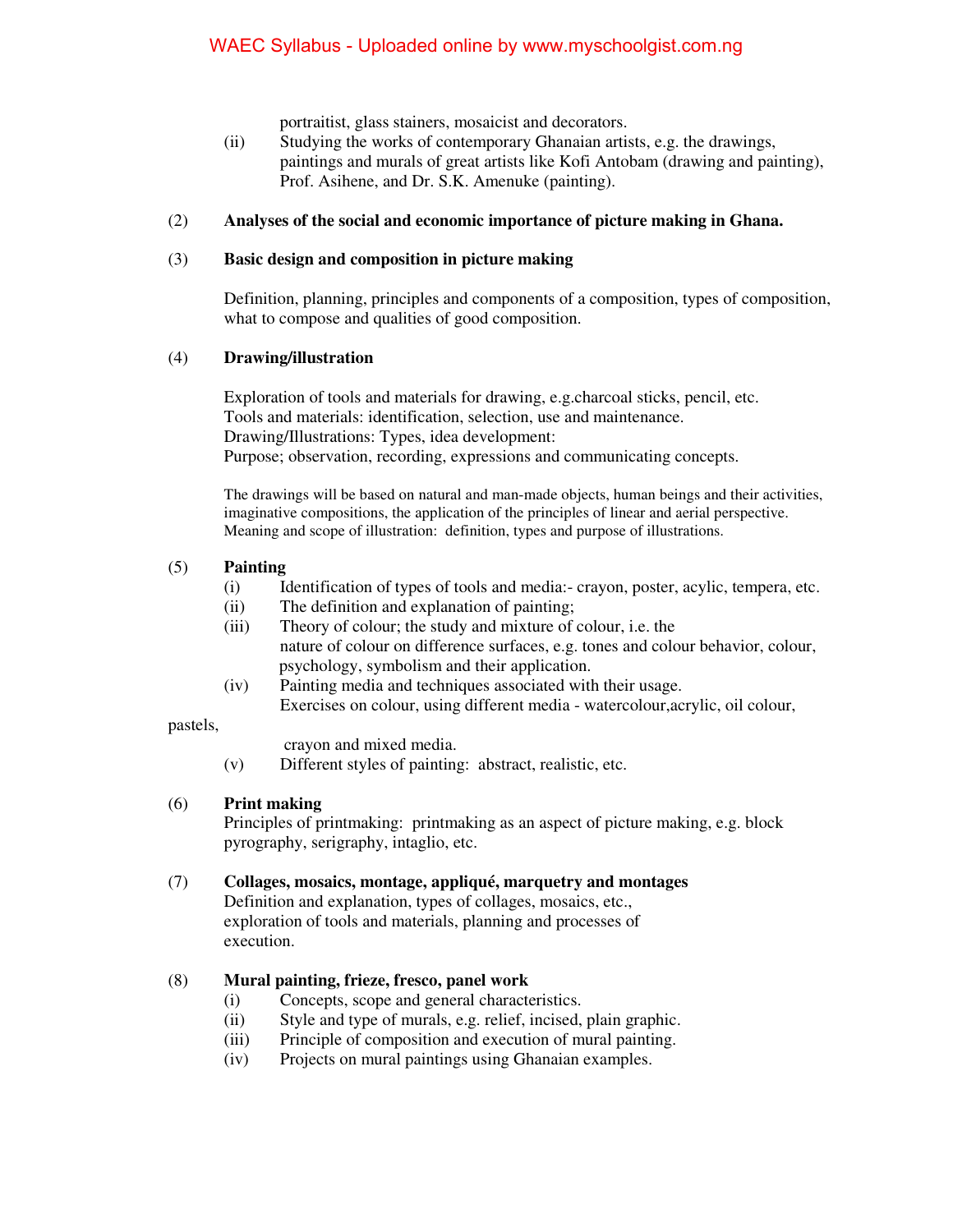portraitist, glass stainers, mosaicist and decorators.

(ii) Studying the works of contemporary Ghanaian artists, e.g. the drawings, paintings and murals of great artists like Kofi Antobam (drawing and painting), Prof. Asihene, and Dr. S.K. Amenuke (painting).

### (2) **Analyses of the social and economic importance of picture making in Ghana.**

#### (3) **Basic design and composition in picture making**

Definition, planning, principles and components of a composition, types of composition, what to compose and qualities of good composition.

### (4) **Drawing/illustration**

 Exploration of tools and materials for drawing, e.g.charcoal sticks, pencil, etc. Tools and materials: identification, selection, use and maintenance. Drawing/Illustrations: Types, idea development: Purpose; observation, recording, expressions and communicating concepts.

The drawings will be based on natural and man-made objects, human beings and their activities, imaginative compositions, the application of the principles of linear and aerial perspective. Meaning and scope of illustration: definition, types and purpose of illustrations.

### (5) **Painting**

- (i) Identification of types of tools and media:- crayon, poster, acylic, tempera, etc.
- (ii) The definition and explanation of painting;
- (iii) Theory of colour; the study and mixture of colour, i.e. the nature of colour on difference surfaces, e.g. tones and colour behavior, colour, psychology, symbolism and their application.
- (iv) Painting media and techniques associated with their usage. Exercises on colour, using different media - watercolour,acrylic, oil colour,

#### pastels,

- crayon and mixed media.
- (v) Different styles of painting: abstract, realistic, etc.

#### (6) **Print making**

Principles of printmaking: printmaking as an aspect of picture making, e.g. block pyrography, serigraphy, intaglio, etc.

#### (7) **Collages, mosaics, montage, appliqué, marquetry and montages**

Definition and explanation, types of collages, mosaics, etc., exploration of tools and materials, planning and processes of execution.

## (8) **Mural painting, frieze, fresco, panel work**

- (i) Concepts, scope and general characteristics.
- (ii) Style and type of murals, e.g. relief, incised, plain graphic.
- (iii) Principle of composition and execution of mural painting.
- (iv) Projects on mural paintings using Ghanaian examples.